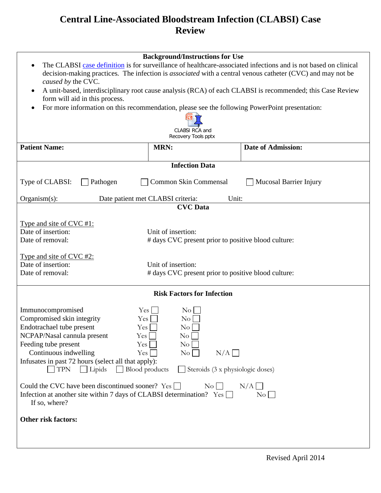## **Central Line-Associated Bloodstream Infection (CLABSI) Case Review**

|                                                                                                                                                                                                                                                                                                                                                                                                                                                                                                                                                                                                                                                                                                                                                              | <b>Background/Instructions for Use</b>                                    |                           |  |  |
|--------------------------------------------------------------------------------------------------------------------------------------------------------------------------------------------------------------------------------------------------------------------------------------------------------------------------------------------------------------------------------------------------------------------------------------------------------------------------------------------------------------------------------------------------------------------------------------------------------------------------------------------------------------------------------------------------------------------------------------------------------------|---------------------------------------------------------------------------|---------------------------|--|--|
| The CLABSI case definition is for surveillance of healthcare-associated infections and is not based on clinical<br>$\bullet$<br>decision-making practices. The infection is <i>associated</i> with a central venous catheter (CVC) and may not be<br>caused by the CVC.                                                                                                                                                                                                                                                                                                                                                                                                                                                                                      |                                                                           |                           |  |  |
| A unit-based, interdisciplinary root cause analysis (RCA) of each CLABSI is recommended; this Case Review<br>$\bullet$                                                                                                                                                                                                                                                                                                                                                                                                                                                                                                                                                                                                                                       |                                                                           |                           |  |  |
| form will aid in this process.<br>$\bullet$                                                                                                                                                                                                                                                                                                                                                                                                                                                                                                                                                                                                                                                                                                                  |                                                                           |                           |  |  |
| For more information on this recommendation, please see the following PowerPoint presentation:<br><b>CLABSI RCA and</b><br>Recovery Tools pptx                                                                                                                                                                                                                                                                                                                                                                                                                                                                                                                                                                                                               |                                                                           |                           |  |  |
| <b>Patient Name:</b>                                                                                                                                                                                                                                                                                                                                                                                                                                                                                                                                                                                                                                                                                                                                         | <b>MRN:</b>                                                               | <b>Date of Admission:</b> |  |  |
| <b>Infection Data</b>                                                                                                                                                                                                                                                                                                                                                                                                                                                                                                                                                                                                                                                                                                                                        |                                                                           |                           |  |  |
| Type of CLABSI:<br>Pathogen                                                                                                                                                                                                                                                                                                                                                                                                                                                                                                                                                                                                                                                                                                                                  | Common Skin Commensal                                                     | Mucosal Barrier Injury    |  |  |
| $Organism(s)$ :<br>Date patient met CLABSI criteria:<br>Unit:                                                                                                                                                                                                                                                                                                                                                                                                                                                                                                                                                                                                                                                                                                |                                                                           |                           |  |  |
| <b>CVC</b> Data                                                                                                                                                                                                                                                                                                                                                                                                                                                                                                                                                                                                                                                                                                                                              |                                                                           |                           |  |  |
| Type and site of CVC #1:<br>Date of insertion:<br>Date of removal:                                                                                                                                                                                                                                                                                                                                                                                                                                                                                                                                                                                                                                                                                           | Unit of insertion:<br># days CVC present prior to positive blood culture: |                           |  |  |
|                                                                                                                                                                                                                                                                                                                                                                                                                                                                                                                                                                                                                                                                                                                                                              |                                                                           |                           |  |  |
| Type and site of CVC #2:<br>Date of insertion:                                                                                                                                                                                                                                                                                                                                                                                                                                                                                                                                                                                                                                                                                                               | Unit of insertion:                                                        |                           |  |  |
| Date of removal:                                                                                                                                                                                                                                                                                                                                                                                                                                                                                                                                                                                                                                                                                                                                             | # days CVC present prior to positive blood culture:                       |                           |  |  |
| <b>Risk Factors for Infection</b>                                                                                                                                                                                                                                                                                                                                                                                                                                                                                                                                                                                                                                                                                                                            |                                                                           |                           |  |  |
| Immunocompromised<br>$\overline{N_{O}}$<br>$Yes \mid$<br>Compromised skin integrity<br>Yes<br>N <sub>0</sub><br>Endotrachael tube present<br>$Yes$ $\Box$<br>$\overline{\text{No}}$<br>NCPAP/Nasal cannula present<br>Yes<br>$\rm No$<br>Feeding tube present<br>Yes<br>$\rm No$<br>Continuous indwelling<br>N/A<br>Yes<br>$\overline{\text{No}}$<br>Infusates in past 72 hours (select all that apply):<br>$\Box$ TPN<br>$\Box$ Lipids<br>Steroids (3 x physiologic doses)<br>$\Box$ Blood products<br>Could the CVC have been discontinued sooner? Yes $\Box$<br>$N/A$ $\Box$<br>$\mathrm{No}$    <br>Infection at another site within 7 days of CLABSI determination? Yes $\Box$<br>$\overline{\text{No}}$<br>If so, where?<br><b>Other risk factors:</b> |                                                                           |                           |  |  |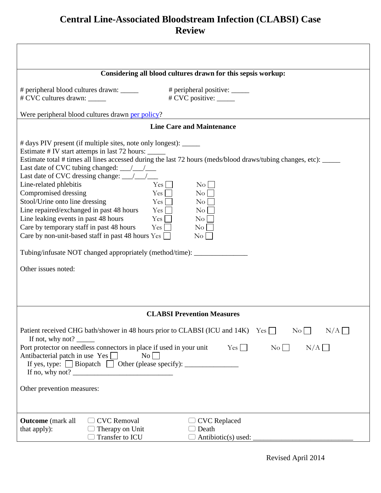## **Central Line-Associated Bloodstream Infection (CLABSI) Case Review**

| Considering all blood cultures drawn for this sepsis workup:                                                                                                                                                                                                                                                                                                                                                                                                                                                                                                                                                                                                                                                                                                                                                                                                                              |  |  |  |
|-------------------------------------------------------------------------------------------------------------------------------------------------------------------------------------------------------------------------------------------------------------------------------------------------------------------------------------------------------------------------------------------------------------------------------------------------------------------------------------------------------------------------------------------------------------------------------------------------------------------------------------------------------------------------------------------------------------------------------------------------------------------------------------------------------------------------------------------------------------------------------------------|--|--|--|
| # peripheral blood cultures drawn: ______<br># peripheral positive: ______<br># CVC positive: _____<br># CVC cultures drawn: _____                                                                                                                                                                                                                                                                                                                                                                                                                                                                                                                                                                                                                                                                                                                                                        |  |  |  |
| Were peripheral blood cultures drawn per policy?                                                                                                                                                                                                                                                                                                                                                                                                                                                                                                                                                                                                                                                                                                                                                                                                                                          |  |  |  |
| <b>Line Care and Maintenance</b>                                                                                                                                                                                                                                                                                                                                                                                                                                                                                                                                                                                                                                                                                                                                                                                                                                                          |  |  |  |
| # days PIV present (if multiple sites, note only longest): ______<br>Estimate # IV start attemps in last 72 hours:<br>Estimate total # times all lines accessed during the last 72 hours (meds/blood draws/tubing changes, etc): _____<br>Last date of CVC dressing change: $\frac{1}{\sqrt{2}}$<br>Line-related phlebitis<br>$Yes$ $\Box$<br>$\rm{No}$<br>Compromised dressing<br>Yes<br>$\overline{N_{O}}$<br>Stool/Urine onto line dressing<br>N <sub>0</sub><br>$Yes \mid$<br>Line repaired/exchanged in past 48 hours<br>Yes    <br>$\overline{N_{O}}$<br>Line leaking events in past 48 hours<br>$Yes \mid$<br>$\rm{No}$<br>Care by temporary staff in past 48 hours<br>$Yes \Box$<br>$\rm{No}$<br>Care by non-unit-based staff in past 48 hours $Yes \Box$<br>$\rm{No}$<br>Tubing/infusate NOT changed appropriately (method/time): _______________________<br>Other issues noted: |  |  |  |
| <b>CLABSI Prevention Measures</b>                                                                                                                                                                                                                                                                                                                                                                                                                                                                                                                                                                                                                                                                                                                                                                                                                                                         |  |  |  |
| Patient received CHG bath/shower in 48 hours prior to CLABSI (ICU and $14K$ ) Yes<br>$\rm No$<br>N/A<br>If not, why not? $\_\_$<br>Port protector on needless connectors in place if used in your unit<br>$Yes$ $\Box$<br>$N/A \prod$<br>$\overline{N_0}$<br>Antibacterial patch in use $Yes \Box$<br>$\overline{N_0}$<br>If no, why not? $\frac{1}{\sqrt{1-\frac{1}{\sqrt{1-\frac{1}{\sqrt{1-\frac{1}{\sqrt{1-\frac{1}{\sqrt{1-\frac{1}{\sqrt{1-\frac{1}{\sqrt{1-\frac{1}{\sqrt{1-\frac{1}{\sqrt{1-\frac{1}{\sqrt{1-\frac{1}{\sqrt{1-\frac{1}{\sqrt{1-\frac{1}{\sqrt{1-\frac{1}{\sqrt{1-\frac{1}{\sqrt{1-\frac{1}{\sqrt{1-\frac{1}{\sqrt{1-\frac{1}{\sqrt{1-\frac{1}{\sqrt{1-\frac{1}{\sqrt{1-\frac{1}{\sqrt{1-\frac{1}{\sqrt{1-\frac{1}{\$<br>Other prevention measures:                                                                                                                |  |  |  |
|                                                                                                                                                                                                                                                                                                                                                                                                                                                                                                                                                                                                                                                                                                                                                                                                                                                                                           |  |  |  |
| <b>Outcome</b> (mark all<br><b>CVC</b> Removal<br><b>CVC</b> Replaced<br>Therapy on Unit<br>that apply):<br>Death<br>Transfer to ICU<br>Antibiotic(s) used:                                                                                                                                                                                                                                                                                                                                                                                                                                                                                                                                                                                                                                                                                                                               |  |  |  |

ヿ